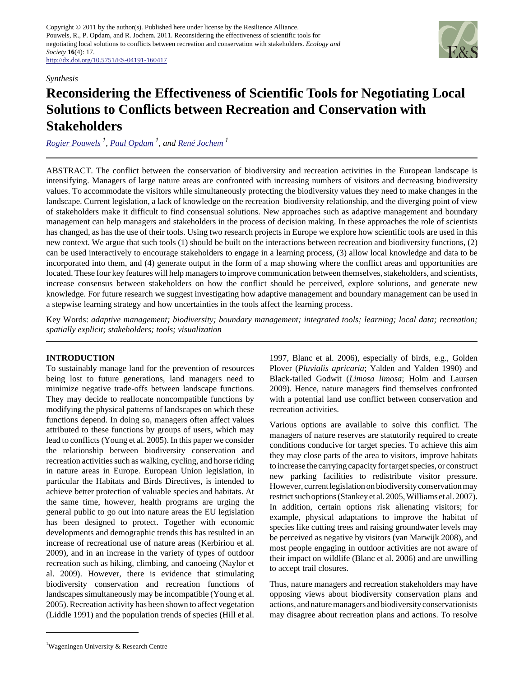

## *Synthesis*

# **Reconsidering the Effectiveness of Scientific Tools for Negotiating Local Solutions to Conflicts between Recreation and Conservation with Stakeholders**

*[Rogier Pouwels](mailto:rogier.pouwels@wur.nl)<sup>1</sup> , [Paul Opdam](mailto:paul.opdam@wur.nl) 1, and [René Jochem](mailto:rene.jochem@wur.nl)<sup>1</sup>*

ABSTRACT. The conflict between the conservation of biodiversity and recreation activities in the European landscape is intensifying. Managers of large nature areas are confronted with increasing numbers of visitors and decreasing biodiversity values. To accommodate the visitors while simultaneously protecting the biodiversity values they need to make changes in the landscape. Current legislation, a lack of knowledge on the recreation–biodiversity relationship, and the diverging point of view of stakeholders make it difficult to find consensual solutions. New approaches such as adaptive management and boundary management can help managers and stakeholders in the process of decision making. In these approaches the role of scientists has changed, as has the use of their tools. Using two research projects in Europe we explore how scientific tools are used in this new context. We argue that such tools (1) should be built on the interactions between recreation and biodiversity functions, (2) can be used interactively to encourage stakeholders to engage in a learning process, (3) allow local knowledge and data to be incorporated into them, and (4) generate output in the form of a map showing where the conflict areas and opportunities are located. These four key features will help managers to improve communication between themselves, stakeholders, and scientists, increase consensus between stakeholders on how the conflict should be perceived, explore solutions, and generate new knowledge. For future research we suggest investigating how adaptive management and boundary management can be used in a stepwise learning strategy and how uncertainties in the tools affect the learning process.

Key Words: *adaptive management; biodiversity; boundary management; integrated tools; learning; local data; recreation; spatially explicit; stakeholders; tools; visualization*

## **INTRODUCTION**

To sustainably manage land for the prevention of resources being lost to future generations, land managers need to minimize negative trade-offs between landscape functions. They may decide to reallocate noncompatible functions by modifying the physical patterns of landscapes on which these functions depend. In doing so, managers often affect values attributed to these functions by groups of users, which may lead to conflicts (Young et al. 2005). In this paper we consider the relationship between biodiversity conservation and recreation activities such as walking, cycling, and horse riding in nature areas in Europe. European Union legislation, in particular the Habitats and Birds Directives, is intended to achieve better protection of valuable species and habitats. At the same time, however, health programs are urging the general public to go out into nature areas the EU legislation has been designed to protect. Together with economic developments and demographic trends this has resulted in an increase of recreational use of nature areas (Kerbiriou et al. 2009), and in an increase in the variety of types of outdoor recreation such as hiking, climbing, and canoeing (Naylor et al. 2009). However, there is evidence that stimulating biodiversity conservation and recreation functions of landscapes simultaneously may be incompatible (Young et al. 2005). Recreation activity has been shown to affect vegetation (Liddle 1991) and the population trends of species (Hill et al.

1997, Blanc et al. 2006), especially of birds, e.g., Golden Plover (*Pluvialis apricaria*; Yalden and Yalden 1990) and Black-tailed Godwit (*Limosa limosa*; Holm and Laursen 2009). Hence, nature managers find themselves confronted with a potential land use conflict between conservation and recreation activities.

Various options are available to solve this conflict. The managers of nature reserves are statutorily required to create conditions conducive for target species. To achieve this aim they may close parts of the area to visitors, improve habitats to increase the carrying capacity for target species, or construct new parking facilities to redistribute visitor pressure. However, current legislation on biodiversity conservation may restrict such options (Stankey et al. 2005, Williams et al. 2007). In addition, certain options risk alienating visitors; for example, physical adaptations to improve the habitat of species like cutting trees and raising groundwater levels may be perceived as negative by visitors (van Marwijk 2008), and most people engaging in outdoor activities are not aware of their impact on wildlife (Blanc et al. 2006) and are unwilling to accept trail closures.

Thus, nature managers and recreation stakeholders may have opposing views about biodiversity conservation plans and actions, and nature managers and biodiversity conservationists may disagree about recreation plans and actions. To resolve

<sup>1</sup>Wageningen University & Research Centre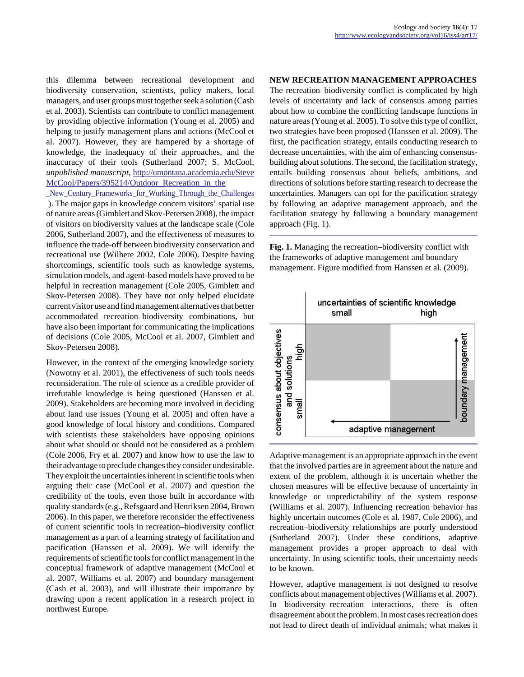this dilemma between recreational development and biodiversity conservation, scientists, policy makers, local managers, and user groups must together seek a solution (Cash et al. 2003). Scientists can contribute to conflict management by providing objective information (Young et al. 2005) and helping to justify management plans and actions (McCool et al. 2007). However, they are hampered by a shortage of knowledge, the inadequacy of their approaches, and the inaccuracy of their tools (Sutherland 2007; S. McCool, *unpublished manuscript,* [http://umontana.academia.edu/Steve](http://umontana.academia.edu/SteveMcCool/Papers/395214/Outdoor_Recreation_in_the _New_Century_Frameworks_for_Working_Through_the_Challenges) [McCool/Papers/395214/Outdoor\\_Recreation\\_in\\_the](http://umontana.academia.edu/SteveMcCool/Papers/395214/Outdoor_Recreation_in_the _New_Century_Frameworks_for_Working_Through_the_Challenges)

New Century Frameworks for Working Through the Challenges ). The major gaps in knowledge concern visitors' spatial use of nature areas (Gimblett and Skov-Petersen 2008), the impact of visitors on biodiversity values at the landscape scale (Cole 2006, Sutherland 2007), and the effectiveness of measures to influence the trade-off between biodiversity conservation and recreational use (Wilhere 2002, Cole 2006). Despite having shortcomings, scientific tools such as knowledge systems, simulation models, and agent-based models have proved to be helpful in recreation management (Cole 2005, Gimblett and Skov-Petersen 2008). They have not only helped elucidate current visitor use and find management alternatives that better accommodated recreation–biodiversity combinations, but have also been important for communicating the implications of decisions (Cole 2005, McCool et al. 2007, Gimblett and Skov-Petersen 2008).

However, in the context of the emerging knowledge society (Nowotny et al. 2001), the effectiveness of such tools needs reconsideration. The role of science as a credible provider of irrefutable knowledge is being questioned (Hanssen et al. 2009). Stakeholders are becoming more involved in deciding about land use issues (Young et al. 2005) and often have a good knowledge of local history and conditions. Compared with scientists these stakeholders have opposing opinions about what should or should not be considered as a problem (Cole 2006, Fry et al. 2007) and know how to use the law to their advantage to preclude changes they consider undesirable. They exploit the uncertainties inherent in scientific tools when arguing their case (McCool et al. 2007) and question the credibility of the tools, even those built in accordance with quality standards (e.g., Refsgaard and Henriksen 2004, Brown 2006). In this paper, we therefore reconsider the effectiveness of current scientific tools in recreation–biodiversity conflict management as a part of a learning strategy of facilitation and pacification (Hanssen et al. 2009). We will identify the requirements of scientific tools for conflict management in the conceptual framework of adaptive management (McCool et al. 2007, Williams et al. 2007) and boundary management (Cash et al. 2003), and will illustrate their importance by drawing upon a recent application in a research project in northwest Europe.

## **NEW RECREATION MANAGEMENT APPROACHES**

The recreation–biodiversity conflict is complicated by high levels of uncertainty and lack of consensus among parties about how to combine the conflicting landscape functions in nature areas (Young et al. 2005). To solve this type of conflict, two strategies have been proposed (Hanssen et al. 2009). The first, the pacification strategy, entails conducting research to decrease uncertainties, with the aim of enhancing consensusbuilding about solutions. The second, the facilitation strategy, entails building consensus about beliefs, ambitions, and directions of solutions before starting research to decrease the uncertainties. Managers can opt for the pacification strategy by following an adaptive management approach, and the facilitation strategy by following a boundary management approach (Fig. 1).

**Fig. 1.** Managing the recreation–biodiversity conflict with the frameworks of adaptive management and boundary management. Figure modified from Hanssen et al. (2009).



Adaptive management is an appropriate approach in the event that the involved parties are in agreement about the nature and extent of the problem, although it is uncertain whether the chosen measures will be effective because of uncertainty in knowledge or unpredictability of the system response (Williams et al. 2007). Influencing recreation behavior has highly uncertain outcomes (Cole et al. 1987, Cole 2006), and recreation–biodiversity relationships are poorly understood (Sutherland 2007). Under these conditions, adaptive management provides a proper approach to deal with uncertainty. In using scientific tools, their uncertainty needs to be known.

However, adaptive management is not designed to resolve conflicts about management objectives (Williams et al. 2007). In biodiversity–recreation interactions, there is often disagreement about the problem. In most cases recreation does not lead to direct death of individual animals; what makes it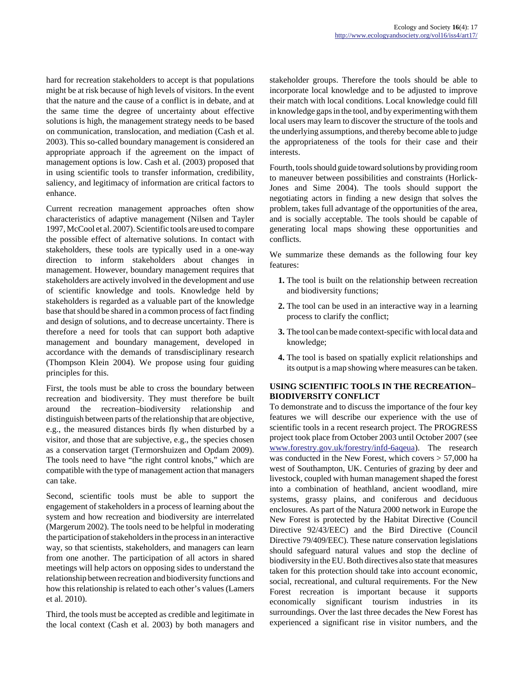hard for recreation stakeholders to accept is that populations might be at risk because of high levels of visitors. In the event that the nature and the cause of a conflict is in debate, and at the same time the degree of uncertainty about effective solutions is high, the management strategy needs to be based on communication, translocation, and mediation (Cash et al. 2003). This so-called boundary management is considered an appropriate approach if the agreement on the impact of management options is low. Cash et al. (2003) proposed that in using scientific tools to transfer information, credibility, saliency, and legitimacy of information are critical factors to enhance.

Current recreation management approaches often show characteristics of adaptive management (Nilsen and Tayler 1997, McCool et al. 2007). Scientific tools are used to compare the possible effect of alternative solutions. In contact with stakeholders, these tools are typically used in a one-way direction to inform stakeholders about changes in management. However, boundary management requires that stakeholders are actively involved in the development and use of scientific knowledge and tools. Knowledge held by stakeholders is regarded as a valuable part of the knowledge base that should be shared in a common process of fact finding and design of solutions, and to decrease uncertainty. There is therefore a need for tools that can support both adaptive management and boundary management, developed in accordance with the demands of transdisciplinary research (Thompson Klein 2004). We propose using four guiding principles for this.

First, the tools must be able to cross the boundary between recreation and biodiversity. They must therefore be built around the recreation–biodiversity relationship and distinguish between parts of the relationship that are objective, e.g., the measured distances birds fly when disturbed by a visitor, and those that are subjective, e.g., the species chosen as a conservation target (Termorshuizen and Opdam 2009). The tools need to have "the right control knobs," which are compatible with the type of management action that managers can take.

Second, scientific tools must be able to support the engagement of stakeholders in a process of learning about the system and how recreation and biodiversity are interrelated (Margerum 2002). The tools need to be helpful in moderating the participation of stakeholders in the process in an interactive way, so that scientists, stakeholders, and managers can learn from one another. The participation of all actors in shared meetings will help actors on opposing sides to understand the relationship between recreation and biodiversity functions and how this relationship is related to each other's values (Lamers et al. 2010).

Third, the tools must be accepted as credible and legitimate in the local context (Cash et al. 2003) by both managers and stakeholder groups. Therefore the tools should be able to incorporate local knowledge and to be adjusted to improve their match with local conditions. Local knowledge could fill in knowledge gaps in the tool, and by experimenting with them local users may learn to discover the structure of the tools and the underlying assumptions, and thereby become able to judge the appropriateness of the tools for their case and their interests.

Fourth, tools should guide toward solutions by providing room to maneuver between possibilities and constraints (Horlick-Jones and Sime 2004). The tools should support the negotiating actors in finding a new design that solves the problem, takes full advantage of the opportunities of the area, and is socially acceptable. The tools should be capable of generating local maps showing these opportunities and conflicts.

We summarize these demands as the following four key features:

- **1.** The tool is built on the relationship between recreation and biodiversity functions;
- **2.** The tool can be used in an interactive way in a learning process to clarify the conflict;
- **3.** The tool can be made context-specific with local data and knowledge;
- **4.** The tool is based on spatially explicit relationships and its output is a map showing where measures can be taken.

# **USING SCIENTIFIC TOOLS IN THE RECREATION– BIODIVERSITY CONFLICT**

To demonstrate and to discuss the importance of the four key features we will describe our experience with the use of scientific tools in a recent research project. The PROGRESS project took place from October 2003 until October 2007 (see [www.forestry.gov.uk/forestry/infd-6aqeua\)](http://www.forestry.gov.uk/forestry/infd-6aqeua). The research was conducted in the New Forest, which covers > 57,000 ha west of Southampton, UK. Centuries of grazing by deer and livestock, coupled with human management shaped the forest into a combination of heathland, ancient woodland, mire systems, grassy plains, and coniferous and deciduous enclosures. As part of the Natura 2000 network in Europe the New Forest is protected by the Habitat Directive (Council Directive 92/43/EEC) and the Bird Directive (Council Directive 79/409/EEC). These nature conservation legislations should safeguard natural values and stop the decline of biodiversity in the EU. Both directives also state that measures taken for this protection should take into account economic, social, recreational, and cultural requirements. For the New Forest recreation is important because it supports economically significant tourism industries in its surroundings. Over the last three decades the New Forest has experienced a significant rise in visitor numbers, and the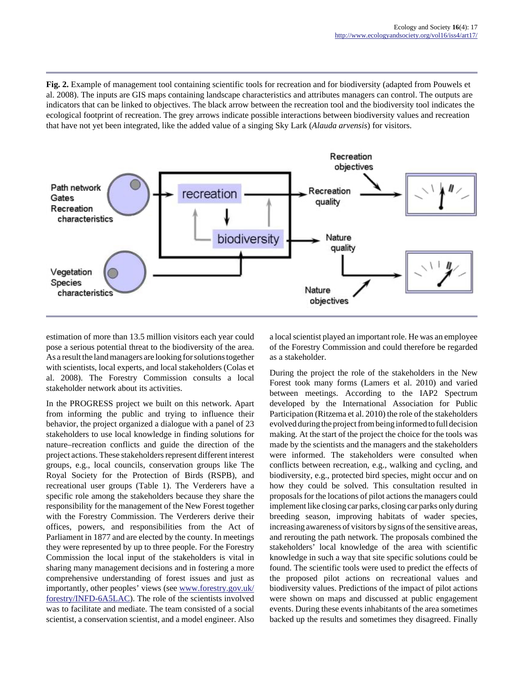**Fig. 2.** Example of management tool containing scientific tools for recreation and for biodiversity (adapted from Pouwels et al. 2008). The inputs are GIS maps containing landscape characteristics and attributes managers can control. The outputs are indicators that can be linked to objectives. The black arrow between the recreation tool and the biodiversity tool indicates the ecological footprint of recreation. The grey arrows indicate possible interactions between biodiversity values and recreation that have not yet been integrated, like the added value of a singing Sky Lark (*Alauda arvensis*) for visitors.



estimation of more than 13.5 million visitors each year could pose a serious potential threat to the biodiversity of the area. As a result the land managers are looking for solutions together with scientists, local experts, and local stakeholders (Colas et al. 2008). The Forestry Commission consults a local stakeholder network about its activities.

In the PROGRESS project we built on this network. Apart from informing the public and trying to influence their behavior, the project organized a dialogue with a panel of 23 stakeholders to use local knowledge in finding solutions for nature–recreation conflicts and guide the direction of the project actions. These stakeholders represent different interest groups, e.g., local councils, conservation groups like The Royal Society for the Protection of Birds (RSPB), and recreational user groups (Table 1). The Verderers have a specific role among the stakeholders because they share the responsibility for the management of the New Forest together with the Forestry Commission. The Verderers derive their offices, powers, and responsibilities from the Act of Parliament in 1877 and are elected by the county. In meetings they were represented by up to three people. For the Forestry Commission the local input of the stakeholders is vital in sharing many management decisions and in fostering a more comprehensive understanding of forest issues and just as importantly, other peoples' views (see [www.forestry.gov.uk/](http://www.forestry.gov.uk/forestry/INFD-6A5LAC) [forestry/INFD-6A5LAC\)](http://www.forestry.gov.uk/forestry/INFD-6A5LAC). The role of the scientists involved was to facilitate and mediate. The team consisted of a social scientist, a conservation scientist, and a model engineer. Also

a local scientist played an important role. He was an employee of the Forestry Commission and could therefore be regarded as a stakeholder.

During the project the role of the stakeholders in the New Forest took many forms (Lamers et al. 2010) and varied between meetings. According to the IAP2 Spectrum developed by the International Association for Public Participation (Ritzema et al. 2010) the role of the stakeholders evolved during the project from being informed to full decision making. At the start of the project the choice for the tools was made by the scientists and the managers and the stakeholders were informed. The stakeholders were consulted when conflicts between recreation, e.g., walking and cycling, and biodiversity, e.g., protected bird species, might occur and on how they could be solved. This consultation resulted in proposals for the locations of pilot actions the managers could implement like closing car parks, closing car parks only during breeding season, improving habitats of wader species, increasing awareness of visitors by signs of the sensitive areas, and rerouting the path network. The proposals combined the stakeholders' local knowledge of the area with scientific knowledge in such a way that site specific solutions could be found. The scientific tools were used to predict the effects of the proposed pilot actions on recreational values and biodiversity values. Predictions of the impact of pilot actions were shown on maps and discussed at public engagement events. During these events inhabitants of the area sometimes backed up the results and sometimes they disagreed. Finally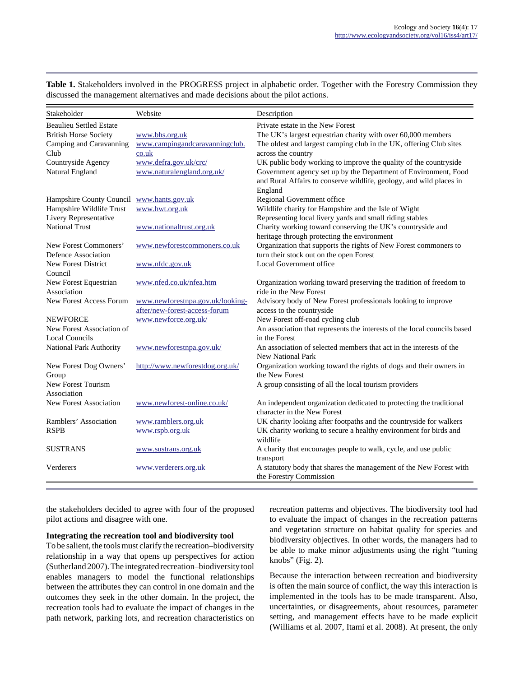| Stakeholder                           | Website                                             | Description                                                                                                                         |
|---------------------------------------|-----------------------------------------------------|-------------------------------------------------------------------------------------------------------------------------------------|
| <b>Beaulieu Settled Estate</b>        |                                                     | Private estate in the New Forest                                                                                                    |
| <b>British Horse Society</b>          | www.bhs.org.uk                                      | The UK's largest equestrian charity with over 60,000 members                                                                        |
| Camping and Caravanning               | www.campingandcaravanningclub.                      | The oldest and largest camping club in the UK, offering Club sites                                                                  |
| Club                                  | co.uk                                               | across the country                                                                                                                  |
| Countryside Agency<br>Natural England | www.defra.gov.uk/crc/<br>www.naturalengland.org.uk/ | UK public body working to improve the quality of the countryside<br>Government agency set up by the Department of Environment, Food |
|                                       |                                                     | and Rural Affairs to conserve wildlife, geology, and wild places in                                                                 |
| Hampshire County Council              | www.hants.gov.uk                                    | England<br>Regional Government office                                                                                               |
| Hampshire Wildlife Trust              | www.hwt.org.uk                                      | Wildlife charity for Hampshire and the Isle of Wight                                                                                |
| Livery Representative                 |                                                     | Representing local livery yards and small riding stables                                                                            |
| <b>National Trust</b>                 | www.nationaltrust.org.uk                            | Charity working toward conserving the UK's countryside and                                                                          |
|                                       |                                                     | heritage through protecting the environment                                                                                         |
| New Forest Commoners'                 | www.newforestcommoners.co.uk                        | Organization that supports the rights of New Forest commoners to                                                                    |
| Defence Association                   |                                                     | turn their stock out on the open Forest                                                                                             |
| New Forest District                   | www.nfdc.gov.uk                                     | Local Government office                                                                                                             |
| Council                               |                                                     |                                                                                                                                     |
| New Forest Equestrian                 | www.nfed.co.uk/nfea.htm                             | Organization working toward preserving the tradition of freedom to                                                                  |
| Association                           |                                                     | ride in the New Forest                                                                                                              |
| <b>New Forest Access Forum</b>        | www.newforestnpa.gov.uk/looking-                    | Advisory body of New Forest professionals looking to improve                                                                        |
|                                       | after/new-forest-access-forum                       | access to the countryside                                                                                                           |
| <b>NEWFORCE</b>                       | www.newforce.org.uk/                                | New Forest off-road cycling club                                                                                                    |
| New Forest Association of             |                                                     | An association that represents the interests of the local councils based                                                            |
| <b>Local Councils</b>                 |                                                     | in the Forest                                                                                                                       |
| <b>National Park Authority</b>        | www.newforestnpa.gov.uk/                            | An association of selected members that act in the interests of the                                                                 |
|                                       |                                                     | <b>New National Park</b>                                                                                                            |
| New Forest Dog Owners'<br>Group       | http://www.newforestdog.org.uk/                     | Organization working toward the rights of dogs and their owners in<br>the New Forest                                                |
| New Forest Tourism                    |                                                     | A group consisting of all the local tourism providers                                                                               |
| Association                           |                                                     |                                                                                                                                     |
| <b>New Forest Association</b>         | www.newforest-online.co.uk/                         | An independent organization dedicated to protecting the traditional                                                                 |
|                                       |                                                     | character in the New Forest                                                                                                         |
| Ramblers' Association                 | www.ramblers.org.uk                                 | UK charity looking after footpaths and the countryside for walkers                                                                  |
| <b>RSPB</b>                           | www.rspb.org.uk                                     | UK charity working to secure a healthy environment for birds and                                                                    |
|                                       |                                                     | wildlife                                                                                                                            |
| <b>SUSTRANS</b>                       | www.sustrans.org.uk                                 | A charity that encourages people to walk, cycle, and use public                                                                     |
|                                       |                                                     | transport                                                                                                                           |
| Verderers                             | www.verderers.org.uk                                | A statutory body that shares the management of the New Forest with                                                                  |
|                                       |                                                     | the Forestry Commission                                                                                                             |

**Table 1.** Stakeholders involved in the PROGRESS project in alphabetic order. Together with the Forestry Commission they discussed the management alternatives and made decisions about the pilot actions.

the stakeholders decided to agree with four of the proposed pilot actions and disagree with one.

## **Integrating the recreation tool and biodiversity tool**

To be salient, the tools must clarify the recreation–biodiversity relationship in a way that opens up perspectives for action (Sutherland 2007). The integrated recreation–biodiversity tool enables managers to model the functional relationships between the attributes they can control in one domain and the outcomes they seek in the other domain. In the project, the recreation tools had to evaluate the impact of changes in the path network, parking lots, and recreation characteristics on recreation patterns and objectives. The biodiversity tool had to evaluate the impact of changes in the recreation patterns and vegetation structure on habitat quality for species and biodiversity objectives. In other words, the managers had to be able to make minor adjustments using the right "tuning knobs" (Fig. 2).

Because the interaction between recreation and biodiversity is often the main source of conflict, the way this interaction is implemented in the tools has to be made transparent. Also, uncertainties, or disagreements, about resources, parameter setting, and management effects have to be made explicit (Williams et al. 2007, Itami et al. 2008). At present, the only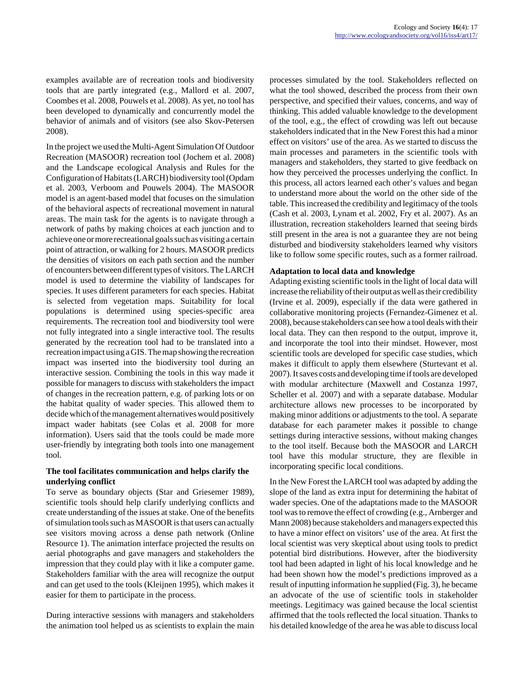examples available are of recreation tools and biodiversity tools that are partly integrated (e.g., Mallord et al. 2007, Coombes et al. 2008, Pouwels et al. 2008). As yet, no tool has been developed to dynamically and concurrently model the behavior of animals and of visitors (see also Skov-Petersen 2008).

In the project we used the Multi-Agent Simulation Of Outdoor Recreation (MASOOR) recreation tool (Jochem et al. 2008) and the Landscape ecological Analysis and Rules for the Configuration of Habitats (LARCH) biodiversity tool (Opdam et al. 2003, Verboom and Pouwels 2004). The MASOOR model is an agent-based model that focuses on the simulation of the behavioral aspects of recreational movement in natural areas. The main task for the agents is to navigate through a network of paths by making choices at each junction and to achieve one or more recreational goals such as visiting a certain point of attraction, or walking for 2 hours. MASOOR predicts the densities of visitors on each path section and the number of encounters between different types of visitors. The LARCH model is used to determine the viability of landscapes for species. It uses different parameters for each species. Habitat is selected from vegetation maps. Suitability for local populations is determined using species-specific area requirements. The recreation tool and biodiversity tool were not fully integrated into a single interactive tool. The results generated by the recreation tool had to be translated into a recreation impact using a GIS. The map showing the recreation impact was inserted into the biodiversity tool during an interactive session. Combining the tools in this way made it possible for managers to discuss with stakeholders the impact of changes in the recreation pattern, e.g. of parking lots or on the habitat quality of wader species. This allowed them to decide which of the management alternatives would positively impact wader habitats (see Colas et al. 2008 for more information). Users said that the tools could be made more user-friendly by integrating both tools into one management tool.

## **The tool facilitates communication and helps clarify the underlying conflict**

To serve as boundary objects (Star and Griesemer 1989), scientific tools should help clarify underlying conflicts and create understanding of the issues at stake. One of the benefits of simulation tools such as MASOOR is that users can actually see visitors moving across a dense path network (Online Resource 1). The animation interface projected the results on aerial photographs and gave managers and stakeholders the impression that they could play with it like a computer game. Stakeholders familiar with the area will recognize the output and can get used to the tools (Kleijnen 1995), which makes it easier for them to participate in the process.

During interactive sessions with managers and stakeholders the animation tool helped us as scientists to explain the main processes simulated by the tool. Stakeholders reflected on what the tool showed, described the process from their own perspective, and specified their values, concerns, and way of thinking. This added valuable knowledge to the development of the tool, e.g., the effect of crowding was left out because stakeholders indicated that in the New Forest this had a minor effect on visitors' use of the area. As we started to discuss the main processes and parameters in the scientific tools with managers and stakeholders, they started to give feedback on how they perceived the processes underlying the conflict. In this process, all actors learned each other's values and began to understand more about the world on the other side of the table. This increased the credibility and legitimacy of the tools (Cash et al. 2003, Lynam et al. 2002, Fry et al. 2007). As an illustration, recreation stakeholders learned that seeing birds still present in the area is not a guarantee they are not being disturbed and biodiversity stakeholders learned why visitors like to follow some specific routes, such as a former railroad.

## **Adaptation to local data and knowledge**

Adapting existing scientific tools in the light of local data will increase the reliability of their output as well as their credibility (Irvine et al. 2009), especially if the data were gathered in collaborative monitoring projects (Fernandez-Gimenez et al. 2008), because stakeholders can see how a tool deals with their local data. They can then respond to the output, improve it, and incorporate the tool into their mindset. However, most scientific tools are developed for specific case studies, which makes it difficult to apply them elsewhere (Sturtevant et al. 2007). It saves costs and developing time if tools are developed with modular architecture (Maxwell and Costanza 1997, Scheller et al. 2007) and with a separate database. Modular architecture allows new processes to be incorporated by making minor additions or adjustments to the tool. A separate database for each parameter makes it possible to change settings during interactive sessions, without making changes to the tool itself. Because both the MASOOR and LARCH tool have this modular structure, they are flexible in incorporating specific local conditions.

In the New Forest the LARCH tool was adapted by adding the slope of the land as extra input for determining the habitat of wader species. One of the adaptations made to the MASOOR tool was to remove the effect of crowding (e.g., Arnberger and Mann 2008) because stakeholders and managers expected this to have a minor effect on visitors' use of the area. At first the local scientist was very skeptical about using tools to predict potential bird distributions. However, after the biodiversity tool had been adapted in light of his local knowledge and he had been shown how the model's predictions improved as a result of inputting information he supplied (Fig. 3), he became an advocate of the use of scientific tools in stakeholder meetings. Legitimacy was gained because the local scientist affirmed that the tools reflected the local situation. Thanks to his detailed knowledge of the area he was able to discuss local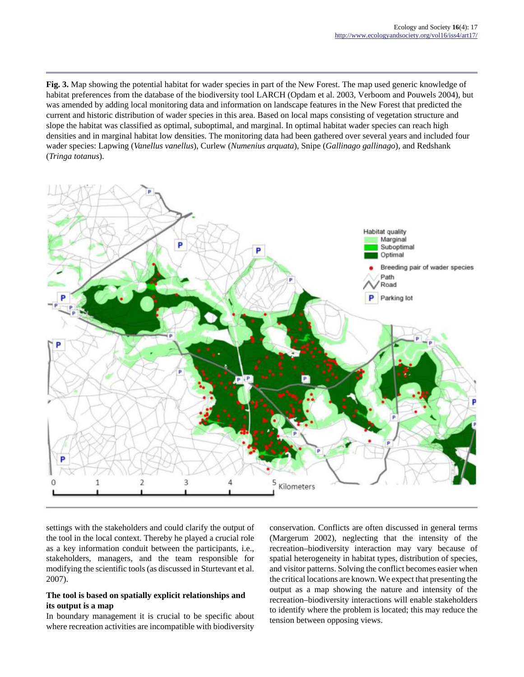**Fig. 3.** Map showing the potential habitat for wader species in part of the New Forest. The map used generic knowledge of habitat preferences from the database of the biodiversity tool LARCH (Opdam et al. 2003, Verboom and Pouwels 2004), but was amended by adding local monitoring data and information on landscape features in the New Forest that predicted the current and historic distribution of wader species in this area. Based on local maps consisting of vegetation structure and slope the habitat was classified as optimal, suboptimal, and marginal. In optimal habitat wader species can reach high densities and in marginal habitat low densities. The monitoring data had been gathered over several years and included four wader species: Lapwing (*Vanellus vanellus*), Curlew (*Numenius arquata*), Snipe (*Gallinago gallinago*), and Redshank (*Tringa totanus*).



settings with the stakeholders and could clarify the output of the tool in the local context. Thereby he played a crucial role as a key information conduit between the participants, i.e., stakeholders, managers, and the team responsible for modifying the scientific tools (as discussed in Sturtevant et al. 2007).

# **The tool is based on spatially explicit relationships and its output is a map**

In boundary management it is crucial to be specific about where recreation activities are incompatible with biodiversity

conservation. Conflicts are often discussed in general terms (Margerum 2002), neglecting that the intensity of the recreation–biodiversity interaction may vary because of spatial heterogeneity in habitat types, distribution of species, and visitor patterns. Solving the conflict becomes easier when the critical locations are known. We expect that presenting the output as a map showing the nature and intensity of the recreation–biodiversity interactions will enable stakeholders to identify where the problem is located; this may reduce the tension between opposing views.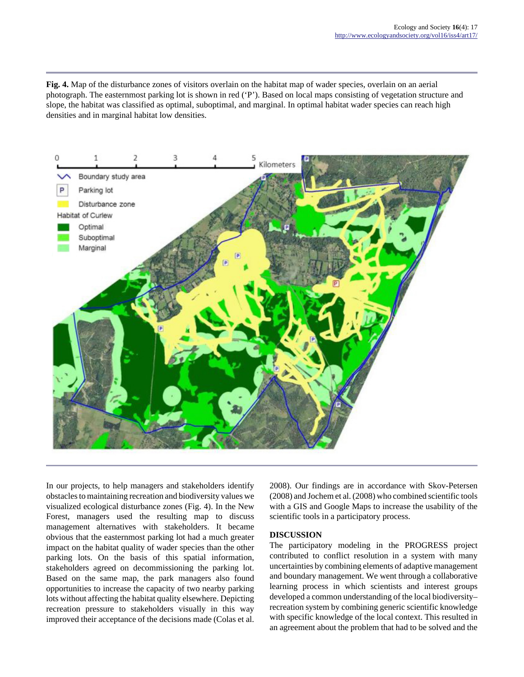**Fig. 4.** Map of the disturbance zones of visitors overlain on the habitat map of wader species, overlain on an aerial photograph. The easternmost parking lot is shown in red ('P'). Based on local maps consisting of vegetation structure and slope, the habitat was classified as optimal, suboptimal, and marginal. In optimal habitat wader species can reach high densities and in marginal habitat low densities.



In our projects, to help managers and stakeholders identify obstacles to maintaining recreation and biodiversity values we visualized ecological disturbance zones (Fig. 4). In the New Forest, managers used the resulting map to discuss management alternatives with stakeholders. It became obvious that the easternmost parking lot had a much greater impact on the habitat quality of wader species than the other parking lots. On the basis of this spatial information, stakeholders agreed on decommissioning the parking lot. Based on the same map, the park managers also found opportunities to increase the capacity of two nearby parking lots without affecting the habitat quality elsewhere. Depicting recreation pressure to stakeholders visually in this way improved their acceptance of the decisions made (Colas et al.

2008). Our findings are in accordance with Skov-Petersen (2008) and Jochem et al. (2008) who combined scientific tools with a GIS and Google Maps to increase the usability of the scientific tools in a participatory process.

# **DISCUSSION**

The participatory modeling in the PROGRESS project contributed to conflict resolution in a system with many uncertainties by combining elements of adaptive management and boundary management. We went through a collaborative learning process in which scientists and interest groups developed a common understanding of the local biodiversity– recreation system by combining generic scientific knowledge with specific knowledge of the local context. This resulted in an agreement about the problem that had to be solved and the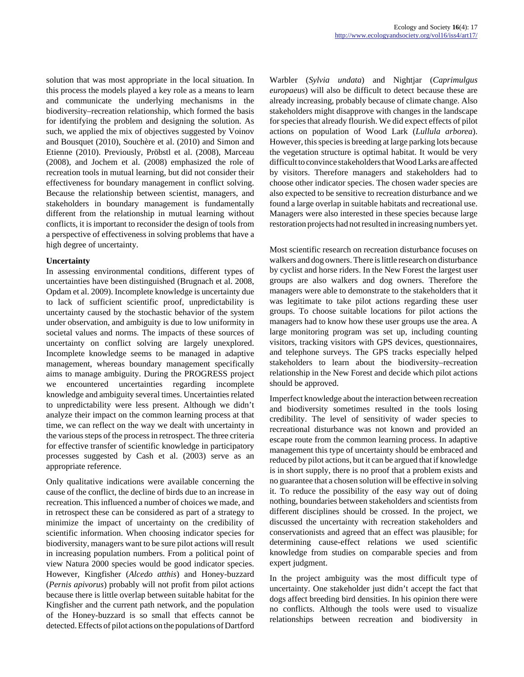solution that was most appropriate in the local situation. In this process the models played a key role as a means to learn and communicate the underlying mechanisms in the biodiversity–recreation relationship, which formed the basis for identifying the problem and designing the solution. As such, we applied the mix of objectives suggested by Voinov and Bousquet (2010), Souchère et al. (2010) and Simon and Etienne (2010). Previously, Pröbstl et al. (2008), Marceau (2008), and Jochem et al. (2008) emphasized the role of recreation tools in mutual learning, but did not consider their effectiveness for boundary management in conflict solving. Because the relationship between scientist, managers, and stakeholders in boundary management is fundamentally different from the relationship in mutual learning without conflicts, it is important to reconsider the design of tools from a perspective of effectiveness in solving problems that have a high degree of uncertainty.

## **Uncertainty**

In assessing environmental conditions, different types of uncertainties have been distinguished (Brugnach et al. 2008, Opdam et al. 2009). Incomplete knowledge is uncertainty due to lack of sufficient scientific proof, unpredictability is uncertainty caused by the stochastic behavior of the system under observation, and ambiguity is due to low uniformity in societal values and norms. The impacts of these sources of uncertainty on conflict solving are largely unexplored. Incomplete knowledge seems to be managed in adaptive management, whereas boundary management specifically aims to manage ambiguity. During the PROGRESS project we encountered uncertainties regarding incomplete knowledge and ambiguity several times. Uncertainties related to unpredictability were less present. Although we didn't analyze their impact on the common learning process at that time, we can reflect on the way we dealt with uncertainty in the various steps of the process in retrospect. The three criteria for effective transfer of scientific knowledge in participatory processes suggested by Cash et al. (2003) serve as an appropriate reference.

Only qualitative indications were available concerning the cause of the conflict, the decline of birds due to an increase in recreation. This influenced a number of choices we made, and in retrospect these can be considered as part of a strategy to minimize the impact of uncertainty on the credibility of scientific information. When choosing indicator species for biodiversity, managers want to be sure pilot actions will result in increasing population numbers. From a political point of view Natura 2000 species would be good indicator species. However, Kingfisher (*Alcedo atthis*) and Honey-buzzard (*Pernis apivorus*) probably will not profit from pilot actions because there is little overlap between suitable habitat for the Kingfisher and the current path network, and the population of the Honey-buzzard is so small that effects cannot be detected. Effects of pilot actions on the populations of Dartford Warbler (*Sylvia undata*) and Nightjar (*Caprimulgus europaeus*) will also be difficult to detect because these are already increasing, probably because of climate change. Also stakeholders might disapprove with changes in the landscape for species that already flourish. We did expect effects of pilot actions on population of Wood Lark (*Lullula arborea*). However, this species is breeding at large parking lots because the vegetation structure is optimal habitat. It would be very difficult to convince stakeholders that Wood Larks are affected by visitors. Therefore managers and stakeholders had to choose other indicator species. The chosen wader species are also expected to be sensitive to recreation disturbance and we found a large overlap in suitable habitats and recreational use. Managers were also interested in these species because large restoration projects had not resulted in increasing numbers yet.

Most scientific research on recreation disturbance focuses on walkers and dog owners. There is little research on disturbance by cyclist and horse riders. In the New Forest the largest user groups are also walkers and dog owners. Therefore the managers were able to demonstrate to the stakeholders that it was legitimate to take pilot actions regarding these user groups. To choose suitable locations for pilot actions the managers had to know how these user groups use the area. A large monitoring program was set up, including counting visitors, tracking visitors with GPS devices, questionnaires, and telephone surveys. The GPS tracks especially helped stakeholders to learn about the biodiversity–recreation relationship in the New Forest and decide which pilot actions should be approved.

Imperfect knowledge about the interaction between recreation and biodiversity sometimes resulted in the tools losing credibility. The level of sensitivity of wader species to recreational disturbance was not known and provided an escape route from the common learning process. In adaptive management this type of uncertainty should be embraced and reduced by pilot actions, but it can be argued that if knowledge is in short supply, there is no proof that a problem exists and no guarantee that a chosen solution will be effective in solving it. To reduce the possibility of the easy way out of doing nothing, boundaries between stakeholders and scientists from different disciplines should be crossed. In the project, we discussed the uncertainty with recreation stakeholders and conservationists and agreed that an effect was plausible; for determining cause-effect relations we used scientific knowledge from studies on comparable species and from expert judgment.

In the project ambiguity was the most difficult type of uncertainty. One stakeholder just didn't accept the fact that dogs affect breeding bird densities. In his opinion there were no conflicts. Although the tools were used to visualize relationships between recreation and biodiversity in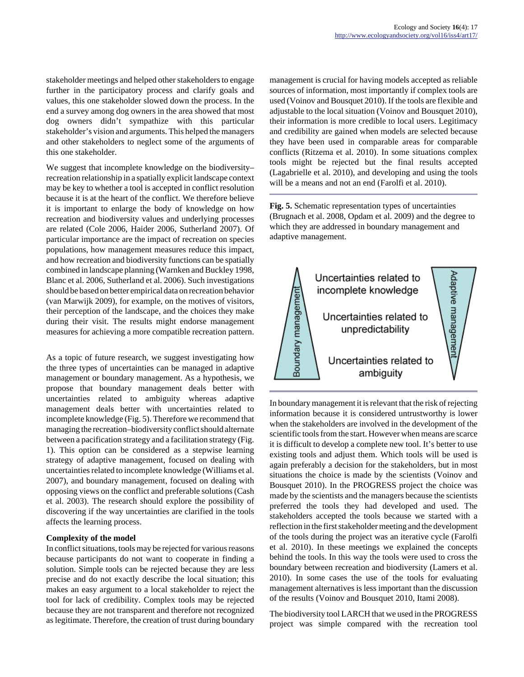stakeholder meetings and helped other stakeholders to engage further in the participatory process and clarify goals and values, this one stakeholder slowed down the process. In the end a survey among dog owners in the area showed that most dog owners didn't sympathize with this particular stakeholder's vision and arguments. This helped the managers and other stakeholders to neglect some of the arguments of this one stakeholder.

We suggest that incomplete knowledge on the biodiversity– recreation relationship in a spatially explicit landscape context may be key to whether a tool is accepted in conflict resolution because it is at the heart of the conflict. We therefore believe it is important to enlarge the body of knowledge on how recreation and biodiversity values and underlying processes are related (Cole 2006, Haider 2006, Sutherland 2007). Of particular importance are the impact of recreation on species populations, how management measures reduce this impact, and how recreation and biodiversity functions can be spatially combined in landscape planning (Warnken and Buckley 1998, Blanc et al. 2006, Sutherland et al. 2006). Such investigations should be based on better empirical data on recreation behavior (van Marwijk 2009), for example, on the motives of visitors, their perception of the landscape, and the choices they make during their visit. The results might endorse management measures for achieving a more compatible recreation pattern.

As a topic of future research, we suggest investigating how the three types of uncertainties can be managed in adaptive management or boundary management. As a hypothesis, we propose that boundary management deals better with uncertainties related to ambiguity whereas adaptive management deals better with uncertainties related to incomplete knowledge (Fig. 5). Therefore we recommend that managing the recreation–biodiversity conflict should alternate between a pacification strategy and a facilitation strategy (Fig. 1). This option can be considered as a stepwise learning strategy of adaptive management, focused on dealing with uncertainties related to incomplete knowledge (Williams et al. 2007), and boundary management, focused on dealing with opposing views on the conflict and preferable solutions (Cash et al. 2003). The research should explore the possibility of discovering if the way uncertainties are clarified in the tools affects the learning process.

## **Complexity of the model**

In conflict situations, tools may be rejected for various reasons because participants do not want to cooperate in finding a solution. Simple tools can be rejected because they are less precise and do not exactly describe the local situation; this makes an easy argument to a local stakeholder to reject the tool for lack of credibility. Complex tools may be rejected because they are not transparent and therefore not recognized as legitimate. Therefore, the creation of trust during boundary management is crucial for having models accepted as reliable sources of information, most importantly if complex tools are used (Voinov and Bousquet 2010). If the tools are flexible and adjustable to the local situation (Voinov and Bousquet 2010), their information is more credible to local users. Legitimacy and credibility are gained when models are selected because they have been used in comparable areas for comparable conflicts (Ritzema et al. 2010). In some situations complex tools might be rejected but the final results accepted (Lagabrielle et al. 2010), and developing and using the tools will be a means and not an end (Farolfi et al. 2010).

**Fig. 5.** Schematic representation types of uncertainties (Brugnach et al. 2008, Opdam et al. 2009) and the degree to which they are addressed in boundary management and adaptive management.



In boundary management it is relevant that the risk of rejecting information because it is considered untrustworthy is lower when the stakeholders are involved in the development of the scientific tools from the start. However when means are scarce it is difficult to develop a complete new tool. It's better to use existing tools and adjust them. Which tools will be used is again preferably a decision for the stakeholders, but in most situations the choice is made by the scientists (Voinov and Bousquet 2010). In the PROGRESS project the choice was made by the scientists and the managers because the scientists preferred the tools they had developed and used. The stakeholders accepted the tools because we started with a reflection in the first stakeholder meeting and the development of the tools during the project was an iterative cycle (Farolfi et al. 2010). In these meetings we explained the concepts behind the tools. In this way the tools were used to cross the boundary between recreation and biodiversity (Lamers et al. 2010). In some cases the use of the tools for evaluating management alternatives is less important than the discussion of the results (Voinov and Bousquet 2010, Itami 2008).

The biodiversity tool LARCH that we used in the PROGRESS project was simple compared with the recreation tool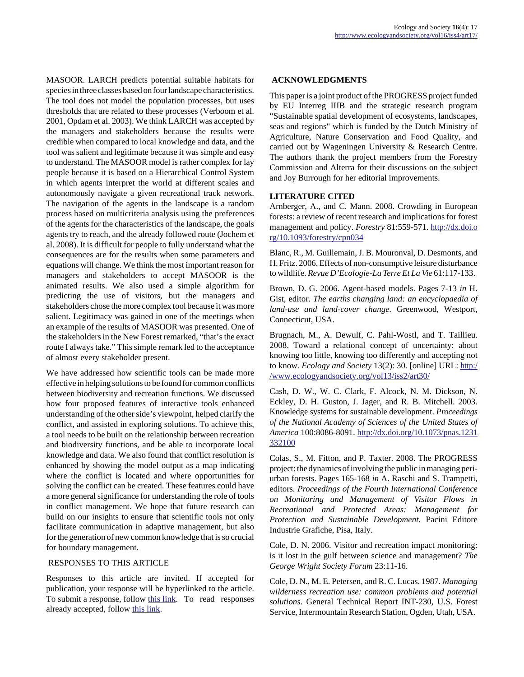MASOOR. LARCH predicts potential suitable habitats for species in three classes based on four landscape characteristics. The tool does not model the population processes, but uses thresholds that are related to these processes (Verboom et al. 2001, Opdam et al. 2003). We think LARCH was accepted by the managers and stakeholders because the results were credible when compared to local knowledge and data, and the tool was salient and legitimate because it was simple and easy to understand. The MASOOR model is rather complex for lay people because it is based on a Hierarchical Control System in which agents interpret the world at different scales and autonomously navigate a given recreational track network. The navigation of the agents in the landscape is a random process based on multicriteria analysis using the preferences of the agents for the characteristics of the landscape, the goals agents try to reach, and the already followed route (Jochem et al. 2008). It is difficult for people to fully understand what the consequences are for the results when some parameters and equations will change. We think the most important reason for managers and stakeholders to accept MASOOR is the animated results. We also used a simple algorithm for predicting the use of visitors, but the managers and stakeholders chose the more complex tool because it was more salient. Legitimacy was gained in one of the meetings when an example of the results of MASOOR was presented. One of the stakeholders in the New Forest remarked, "that's the exact route I always take." This simple remark led to the acceptance of almost every stakeholder present.

We have addressed how scientific tools can be made more effective in helping solutions to be found for common conflicts between biodiversity and recreation functions. We discussed how four proposed features of interactive tools enhanced understanding of the other side's viewpoint, helped clarify the conflict, and assisted in exploring solutions. To achieve this, a tool needs to be built on the relationship between recreation and biodiversity functions, and be able to incorporate local knowledge and data. We also found that conflict resolution is enhanced by showing the model output as a map indicating where the conflict is located and where opportunities for solving the conflict can be created. These features could have a more general significance for understanding the role of tools in conflict management. We hope that future research can build on our insights to ensure that scientific tools not only facilitate communication in adaptive management, but also for the generation of new common knowledge that is so crucial for boundary management.

## RESPONSES TO THIS ARTICLE

Responses to this article are invited. If accepted for publication, your response will be hyperlinked to the article. To submit a response, follow [this link](http://www.ecologyandsociety.org/responses.php?articleid=4191&mode=add). To read responses already accepted, follow [this link](http://www.ecologyandsociety.org/responses.php?articleid=4191).

# **ACKNOWLEDGMENTS**

This paper is a joint product of the PROGRESS project funded by EU Interreg IIIB and the strategic research program "Sustainable spatial development of ecosystems, landscapes, seas and regions" which is funded by the Dutch Ministry of Agriculture, Nature Conservation and Food Quality, and carried out by Wageningen University & Research Centre. The authors thank the project members from the Forestry Commission and Alterra for their discussions on the subject and Joy Burrough for her editorial improvements.

## **LITERATURE CITED**

Arnberger, A., and C. Mann. 2008. Crowding in European forests: a review of recent research and implications for forest management and policy. *Forestry* 81:559-571. [http://dx.doi.o](http://dx.doi.org/10.1093/forestry/cpn034) [rg/10.1093/forestry/cpn034](http://dx.doi.org/10.1093/forestry/cpn034)

Blanc, R., M. Guillemain, J. B. Mouronval, D. Desmonts, and H. Fritz. 2006. Effects of non-consumptive leisure disturbance to wildlife. *Revue D'Ecologie-La Terre Et La Vie* 61:117-133.

Brown, D. G. 2006. Agent-based models. Pages 7-13 *in* H. Gist, editor. *The earths changing land: an encyclopaedia of land-use and land-cover change.* Greenwood, Westport, Connecticut, USA.

Brugnach, M., A. Dewulf, C. Pahl-Wostl, and T. Taillieu. 2008. Toward a relational concept of uncertainty: about knowing too little, knowing too differently and accepting not to know. *Ecology and Society* 13(2): 30. [online] URL: [http:/](http://www.ecologyandsociety.org/vol13/iss2/art30/) [/www.ecologyandsociety.org/vol13/iss2/art30/](http://www.ecologyandsociety.org/vol13/iss2/art30/)

Cash, D. W., W. C. Clark, F. Alcock, N. M. Dickson, N. Eckley, D. H. Guston, J. Jager, and R. B. Mitchell. 2003. Knowledge systems for sustainable development. *Proceedings of the National Academy of Sciences of the United States of America* 100:8086-8091. [http://dx.doi.org/10.1073/pnas.1231](http://dx.doi.org/10.1073/pnas.1231332100) [332100](http://dx.doi.org/10.1073/pnas.1231332100)

Colas, S., M. Fitton, and P. Taxter. 2008. The PROGRESS project: the dynamics of involving the public in managing periurban forests. Pages 165-168 *in* A. Raschi and S. Trampetti, editors. *Proceedings of the Fourth International Conference on Monitoring and Management of Visitor Flows in Recreational and Protected Areas: Management for Protection and Sustainable Development.* Pacini Editore Industrie Grafiche, Pisa, Italy.

Cole, D. N. 2006. Visitor and recreation impact monitoring: is it lost in the gulf between science and management? *The George Wright Society Forum* 23:11-16.

Cole, D. N., M. E. Petersen, and R. C. Lucas. 1987. *Managing wilderness recreation use: common problems and potential solutions*. General Technical Report INT-230, U.S. Forest Service, Intermountain Research Station, Ogden, Utah, USA.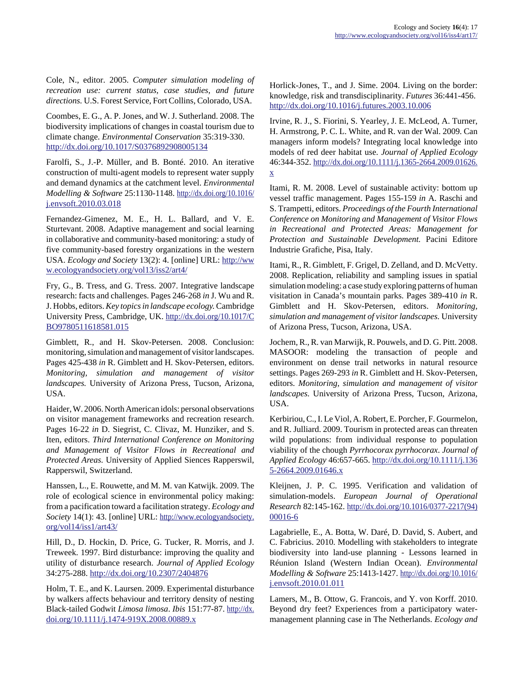Cole, N., editor. 2005. *Computer simulation modeling of recreation use: current status, case studies, and future directions.* U.S. Forest Service, Fort Collins, Colorado, USA.

Coombes, E. G., A. P. Jones, and W. J. Sutherland. 2008. The biodiversity implications of changes in coastal tourism due to climate change. *Environmental Conservation* 35:319-330. <http://dx.doi.org/10.1017/S0376892908005134>

Farolfi, S., J.-P. Müller, and B. Bonté. 2010. An iterative construction of multi-agent models to represent water supply and demand dynamics at the catchment level. *Environmental Modelling & Software* 25:1130-1148. [http://dx.doi.org/10.1016/](http://dx.doi.org/10.1016/j.envsoft.2010.03.018) [j.envsoft.2010.03.018](http://dx.doi.org/10.1016/j.envsoft.2010.03.018)

Fernandez-Gimenez, M. E., H. L. Ballard, and V. E. Sturtevant. 2008. Adaptive management and social learning in collaborative and community-based monitoring: a study of five community-based forestry organizations in the western USA. *Ecology and Society* 13(2): 4. [online] URL: [http://ww](http://www.ecologyandsociety.org/vol13/iss2/art4/) [w.ecologyandsociety.org/vol13/iss2/art4/](http://www.ecologyandsociety.org/vol13/iss2/art4/)

Fry, G., B. Tress, and G. Tress. 2007. Integrative landscape research: facts and challenges. Pages 246-268 *in* J. Wu and R. J. Hobbs, editors. *Key topics in landscape ecology.* Cambridge University Press, Cambridge, UK. [http://dx.doi.org/10.1017/C](http://dx.doi.org/10.1017/CBO9780511618581.015) [BO9780511618581.015](http://dx.doi.org/10.1017/CBO9780511618581.015)

Gimblett, R., and H. Skov-Petersen. 2008. Conclusion: monitoring, simulation and management of visitor landscapes. Pages 425-438 *in* R. Gimblett and H. Skov-Petersen, editors. *Monitoring, simulation and management of visitor landscapes.* University of Arizona Press, Tucson, Arizona, USA.

Haider, W. 2006. North American idols: personal observations on visitor management frameworks and recreation research. Pages 16-22 *in* D. Siegrist, C. Clivaz, M. Hunziker, and S. Iten, editors. *Third International Conference on Monitoring and Management of Visitor Flows in Recreational and Protected Areas.* University of Applied Siences Rapperswil, Rapperswil, Switzerland.

Hanssen, L., E. Rouwette, and M. M. van Katwijk. 2009. The role of ecological science in environmental policy making: from a pacification toward a facilitation strategy. *Ecology and Society* 14(1): 43. [online] URL: [http://www.ecologyandsociety.](http://www.ecologyandsociety.org/vol14/iss1/art43/) [org/vol14/iss1/art43/](http://www.ecologyandsociety.org/vol14/iss1/art43/)

Hill, D., D. Hockin, D. Price, G. Tucker, R. Morris, and J. Treweek. 1997. Bird disturbance: improving the quality and utility of disturbance research. *Journal of Applied Ecology* 34:275-288.<http://dx.doi.org/10.2307/2404876>

Holm, T. E., and K. Laursen. 2009. Experimental disturbance by walkers affects behaviour and territory density of nesting Black-tailed Godwit *Limosa limosa*. *Ibis* 151:77-87. [http://dx.](http://dx.doi.org/10.1111/j.1474-919X.2008.00889.x) [doi.org/10.1111/j.1474-919X.2008.00889.x](http://dx.doi.org/10.1111/j.1474-919X.2008.00889.x)

Horlick-Jones, T., and J. Sime. 2004. Living on the border: knowledge, risk and transdisciplinarity. *Futures* 36:441-456. <http://dx.doi.org/10.1016/j.futures.2003.10.006>

Irvine, R. J., S. Fiorini, S. Yearley, J. E. McLeod, A. Turner, H. Armstrong, P. C. L. White, and R. van der Wal. 2009. Can managers inform models? Integrating local knowledge into models of red deer habitat use. *Journal of Applied Ecology* 46:344-352. [http://dx.doi.org/10.1111/j.1365-2664.2009.01626.](http://dx.doi.org/10.1111/j.1365-2664.2009.01626.x) [x](http://dx.doi.org/10.1111/j.1365-2664.2009.01626.x)

Itami, R. M. 2008. Level of sustainable activity: bottom up vessel traffic management. Pages 155-159 *in* A. Raschi and S. Trampetti, editors. *Proceedings of the Fourth International Conference on Monitoring and Management of Visitor Flows in Recreational and Protected Areas: Management for Protection and Sustainable Development.* Pacini Editore Industrie Grafiche, Pisa, Italy.

Itami, R., R. Gimblett, F. Grigel, D. Zelland, and D. McVetty. 2008. Replication, reliability and sampling issues in spatial simulation modeling: a case study exploring patterns of human visitation in Canada's mountain parks. Pages 389-410 *in* R. Gimblett and H. Skov-Petersen, editors. *Monitoring, simulation and management of visitor landscapes.* University of Arizona Press, Tucson, Arizona, USA.

Jochem, R., R. van Marwijk, R. Pouwels, and D. G. Pitt. 2008. MASOOR: modeling the transaction of people and environment on dense trail networks in natural resource settings. Pages 269-293 *in* R. Gimblett and H. Skov-Petersen, editors. *Monitoring, simulation and management of visitor landscapes.* University of Arizona Press, Tucson, Arizona, USA.

Kerbiriou, C., I. Le Viol, A. Robert, E. Porcher, F. Gourmelon, and R. Julliard. 2009. Tourism in protected areas can threaten wild populations: from individual response to population viability of the chough *Pyrrhocorax pyrrhocorax*. *Journal of Applied Ecology* 46:657-665. [http://dx.doi.org/10.1111/j.136](http://dx.doi.org/10.1111/j.1365-2664.2009.01646.x) [5-2664.2009.01646.x](http://dx.doi.org/10.1111/j.1365-2664.2009.01646.x)

Kleijnen, J. P. C. 1995. Verification and validation of simulation-models. *European Journal of Operational Research* 82:145-162. [http://dx.doi.org/10.1016/0377-2217\(94\)](http://dx.doi.org/10.1016/0377-2217(94)00016-6) [00016-6](http://dx.doi.org/10.1016/0377-2217(94)00016-6)

Lagabrielle, E., A. Botta, W. Daré, D. David, S. Aubert, and C. Fabricius. 2010. Modelling with stakeholders to integrate biodiversity into land-use planning - Lessons learned in Réunion Island (Western Indian Ocean). *Environmental Modelling & Software* 25:1413-1427. [http://dx.doi.org/10.1016/](http://dx.doi.org/10.1016/j.envsoft.2010.01.011) [j.envsoft.2010.01.011](http://dx.doi.org/10.1016/j.envsoft.2010.01.011)

Lamers, M., B. Ottow, G. Francois, and Y. von Korff. 2010. Beyond dry feet? Experiences from a participatory watermanagement planning case in The Netherlands. *Ecology and*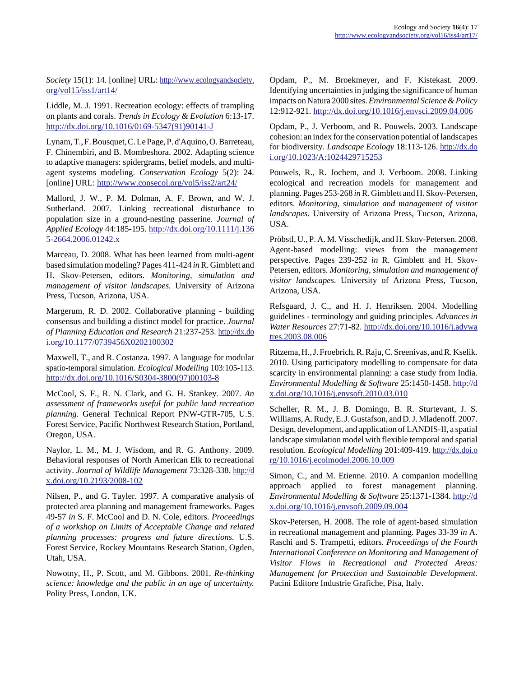*Society* 15(1): 14. [online] URL: [http://www.ecologyandsociety.](http://www.ecologyandsociety.org/vol15/iss1/art14/) [org/vol15/iss1/art14/](http://www.ecologyandsociety.org/vol15/iss1/art14/)

Liddle, M. J. 1991. Recreation ecology: effects of trampling on plants and corals. *Trends in Ecology & Evolution* 6:13-17. [http://dx.doi.org/10.1016/0169-5347\(91\)90141-J](http://dx.doi.org/10.1016/0169-5347(91)90141-J)

Lynam, T., F. Bousquet, C. Le Page, P. d'Aquino, O. Barreteau, F. Chinembiri, and B. Mombeshora. 2002. Adapting science to adaptive managers: spidergrams, belief models, and multiagent systems modeling. *Conservation Ecology* 5(2): 24. [online] URL:<http://www.consecol.org/vol5/iss2/art24/>

Mallord, J. W., P. M. Dolman, A. F. Brown, and W. J. Sutherland. 2007. Linking recreational disturbance to population size in a ground-nesting passerine. *Journal of Applied Ecology* 44:185-195. [http://dx.doi.org/10.1111/j.136](http://dx.doi.org/10.1111/j.1365-2664.2006.01242.x) [5-2664.2006.01242.x](http://dx.doi.org/10.1111/j.1365-2664.2006.01242.x)

Marceau, D. 2008. What has been learned from multi-agent based simulation modeling? Pages 411-424 *in* R. Gimblett and H. Skov-Petersen, editors. *Monitoring, simulation and management of visitor landscapes.* University of Arizona Press, Tucson, Arizona, USA.

Margerum, R. D. 2002. Collaborative planning - building consensus and building a distinct model for practice. *Journal of Planning Education and Research* 21:237-253. [http://dx.do](http://dx.doi.org/10.1177/0739456X0202100302) [i.org/10.1177/0739456X0202100302](http://dx.doi.org/10.1177/0739456X0202100302)

Maxwell, T., and R. Costanza. 1997. A language for modular spatio-temporal simulation. *Ecological Modelling* 103:105-113. [http://dx.doi.org/10.1016/S0304-3800\(97\)00103-8](http://dx.doi.org/10.1016/S0304-3800(97)00103-8)

McCool, S. F., R. N. Clark, and G. H. Stankey. 2007. *An assessment of frameworks useful for public land recreation planning.* General Technical Report PNW-GTR-705, U.S. Forest Service, Pacific Northwest Research Station, Portland, Oregon, USA.

Naylor, L. M., M. J. Wisdom, and R. G. Anthony. 2009. Behavioral responses of North American Elk to recreational activity. *Journal of Wildlife Management* 73:328-338. [http://d](http://dx.doi.org/10.2193/2008-102) [x.doi.org/10.2193/2008-102](http://dx.doi.org/10.2193/2008-102)

Nilsen, P., and G. Tayler. 1997. A comparative analysis of protected area planning and management frameworks. Pages 49-57 *in* S. F. McCool and D. N. Cole, editors. *Proceedings of a workshop on Limits of Acceptable Change and related planning processes: progress and future directions.* U.S. Forest Service, Rockey Mountains Research Station, Ogden, Utah, USA.

Nowotny, H., P. Scott, and M. Gibbons. 2001. *Re-thinking science: knowledge and the public in an age of uncertainty.* Polity Press, London, UK.

Opdam, P., M. Broekmeyer, and F. Kistekast. 2009. Identifying uncertainties in judging the significance of human impacts on Natura 2000 sites. *Environmental Science & Policy* 12:912-921.<http://dx.doi.org/10.1016/j.envsci.2009.04.006>

Opdam, P., J. Verboom, and R. Pouwels. 2003. Landscape cohesion: an index for the conservation potential of landscapes for biodiversity. *Landscape Ecology* 18:113-126. [http://dx.do](http://dx.doi.org/10.1023/A:1024429715253) [i.org/10.1023/A:1024429715253](http://dx.doi.org/10.1023/A:1024429715253)

Pouwels, R., R. Jochem, and J. Verboom. 2008. Linking ecological and recreation models for management and planning. Pages 253-268 *in* R. Gimblett and H. Skov-Petersen, editors. *Monitoring, simulation and management of visitor landscapes.* University of Arizona Press, Tucson, Arizona, USA.

Pröbstl, U., P. A. M. Visschedijk, and H. Skov-Petersen. 2008. Agent-based modelling: views from the management perspective. Pages 239-252 *in* R. Gimblett and H. Skov-Petersen, editors. *Monitoring, simulation and management of visitor landscapes.* University of Arizona Press, Tucson, Arizona, USA.

Refsgaard, J. C., and H. J. Henriksen. 2004. Modelling guidelines - terminology and guiding principles. *Advances in Water Resources* 27:71-82. [http://dx.doi.org/10.1016/j.advwa](http://dx.doi.org/10.1016/j.advwatres.2003.08.006) [tres.2003.08.006](http://dx.doi.org/10.1016/j.advwatres.2003.08.006)

Ritzema, H., J. Froebrich, R. Raju, C. Sreenivas, and R. Kselik. 2010. Using participatory modelling to compensate for data scarcity in environmental planning: a case study from India. *Environmental Modelling & Software* 25:1450-1458. [http://d](http://dx.doi.org/10.1016/j.envsoft.2010.03.010) [x.doi.org/10.1016/j.envsoft.2010.03.010](http://dx.doi.org/10.1016/j.envsoft.2010.03.010)

Scheller, R. M., J. B. Domingo, B. R. Sturtevant, J. S. Williams, A. Rudy, E. J. Gustafson, and D. J. Mladenoff. 2007. Design, development, and application of LANDIS-II, a spatial landscape simulation model with flexible temporal and spatial resolution. *Ecological Modelling* 201:409-419. [http://dx.doi.o](http://dx.doi.org/10.1016/j.ecolmodel.2006.10.009) [rg/10.1016/j.ecolmodel.2006.10.009](http://dx.doi.org/10.1016/j.ecolmodel.2006.10.009)

Simon, C., and M. Etienne. 2010. A companion modelling approach applied to forest management planning. *Environmental Modelling & Software* 25:1371-1384. [http://d](http://dx.doi.org/10.1016/j.envsoft.2009.09.004) [x.doi.org/10.1016/j.envsoft.2009.09.004](http://dx.doi.org/10.1016/j.envsoft.2009.09.004)

Skov-Petersen, H. 2008. The role of agent-based simulation in recreational management and planning. Pages 33-39 *in* A. Raschi and S. Trampetti, editors. *Proceedings of the Fourth International Conference on Monitoring and Management of Visitor Flows in Recreational and Protected Areas: Management for Protection and Sustainable Development.* Pacini Editore Industrie Grafiche, Pisa, Italy.